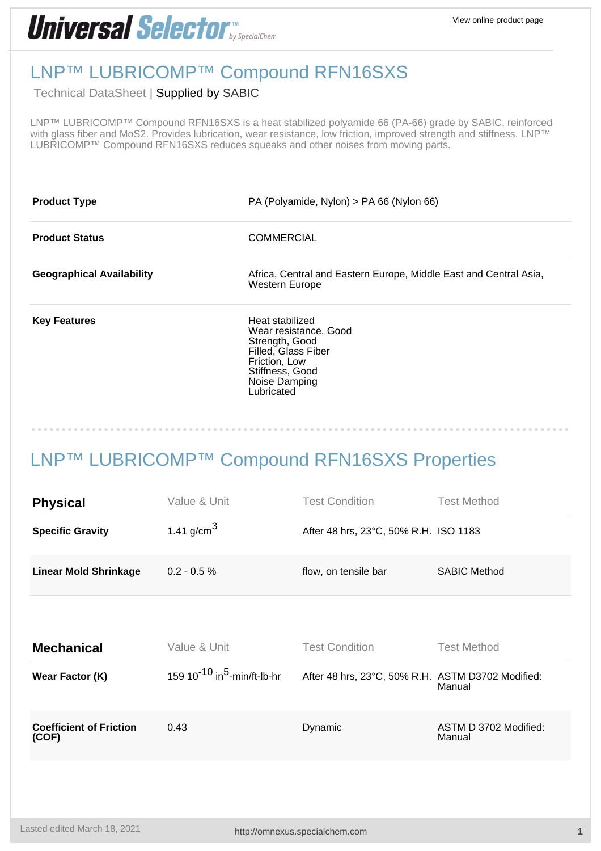## **Universal Selector Expression**

## LNP™ LUBRICOMP™ Compound RFN16SXS

Technical DataSheet | Supplied by [SABIC](http://omnexus.specialchem.com/selectors/s-sabic)

LNP™ LUBRICOMP™ Compound RFN16SXS is a heat stabilized polyamide 66 (PA-66) grade by SABIC, reinforced with glass fiber and MoS2. Provides lubrication, wear resistance, low friction, improved strength and stiffness. LNP™ LUBRICOMP™ Compound RFN16SXS reduces squeaks and other noises from moving parts.

| <b>Product Type</b>              | PA (Polyamide, Nylon) > PA 66 (Nylon 66)                                                                                                             |  |  |
|----------------------------------|------------------------------------------------------------------------------------------------------------------------------------------------------|--|--|
| <b>Product Status</b>            | <b>COMMERCIAL</b>                                                                                                                                    |  |  |
| <b>Geographical Availability</b> | Africa, Central and Eastern Europe, Middle East and Central Asia,<br>Western Europe                                                                  |  |  |
| <b>Key Features</b>              | Heat stabilized<br>Wear resistance, Good<br>Strength, Good<br>Filled, Glass Fiber<br>Friction, Low<br>Stiffness, Good<br>Noise Damping<br>Lubricated |  |  |

## LNP™ LUBRICOMP™ Compound RFN16SXS Properties

| <b>Physical</b>                         | Value & Unit                                        | <b>Test Condition</b>                             | <b>Test Method</b>              |
|-----------------------------------------|-----------------------------------------------------|---------------------------------------------------|---------------------------------|
| <b>Specific Gravity</b>                 | 1.41 g/cm <sup>3</sup>                              | After 48 hrs, 23°C, 50% R.H. ISO 1183             |                                 |
| <b>Linear Mold Shrinkage</b>            | $0.2 - 0.5 %$                                       | flow, on tensile bar                              | <b>SABIC Method</b>             |
|                                         |                                                     |                                                   |                                 |
| <b>Mechanical</b>                       | Value & Unit                                        | <b>Test Condition</b>                             | <b>Test Method</b>              |
| Wear Factor (K)                         | 159 10 <sup>-10</sup> in <sup>5</sup> -min/ft-lb-hr | After 48 hrs, 23°C, 50% R.H. ASTM D3702 Modified: | Manual                          |
| <b>Coefficient of Friction</b><br>(COF) | 0.43                                                | Dynamic                                           | ASTM D 3702 Modified:<br>Manual |